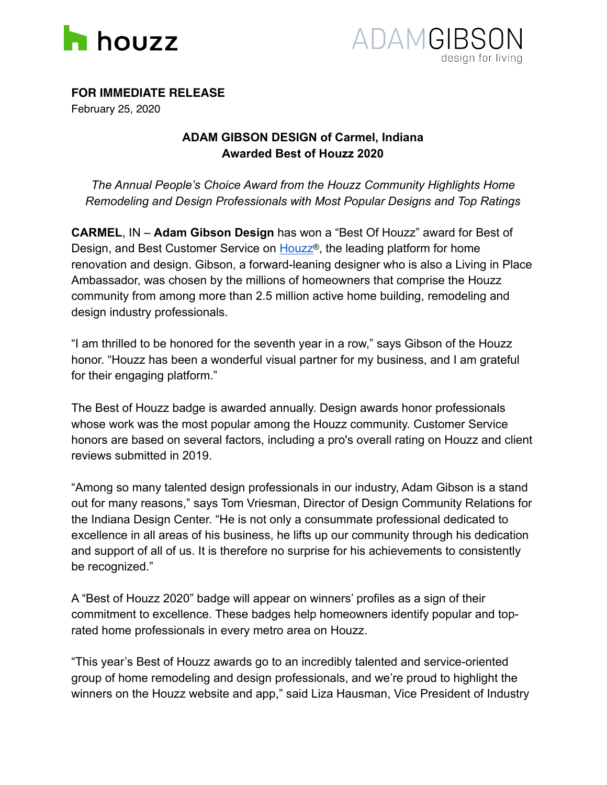



**FOR IMMEDIATE RELEASE**

February 25, 2020

## **ADAM GIBSON DESIGN of Carmel, Indiana Awarded Best of Houzz 2020**

*The Annual People's Choice Award from the Houzz Community Highlights Home Remodeling and Design Professionals with Most Popular Designs and Top Ratings*

**CARMEL**, IN – **Adam Gibson Design** has won a "Best Of Houzz" award for Best of Design, and Best Customer Service on [Houzz](http://www.houzz.com)<sup>®</sup>, the leading platform for home renovation and design. Gibson, a forward-leaning designer who is also a Living in Place Ambassador, was chosen by the millions of homeowners that comprise the Houzz community from among more than 2.5 million active home building, remodeling and design industry professionals.

"I am thrilled to be honored for the seventh year in a row," says Gibson of the Houzz honor. "Houzz has been a wonderful visual partner for my business, and I am grateful for their engaging platform."

The Best of Houzz badge is awarded annually. Design awards honor professionals whose work was the most popular among the Houzz community. Customer Service honors are based on several factors, including a pro's overall rating on Houzz and client reviews submitted in 2019.

"Among so many talented design professionals in our industry, Adam Gibson is a stand out for many reasons," says Tom Vriesman, Director of Design Community Relations for the Indiana Design Center. "He is not only a consummate professional dedicated to excellence in all areas of his business, he lifts up our community through his dedication and support of all of us. It is therefore no surprise for his achievements to consistently be recognized."

A "Best of Houzz 2020" badge will appear on winners' profiles as a sign of their commitment to excellence. These badges help homeowners identify popular and toprated home professionals in every metro area on Houzz.

"This year's Best of Houzz awards go to an incredibly talented and service-oriented group of home remodeling and design professionals, and we're proud to highlight the winners on the Houzz website and app," said Liza Hausman, Vice President of Industry